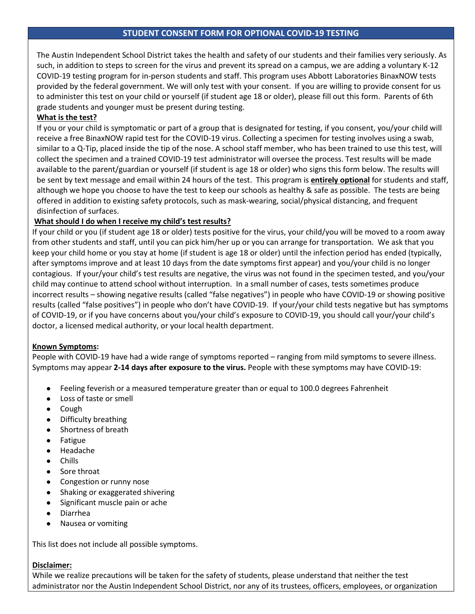The Austin Independent School District takes the health and safety of our students and their families very seriously. As such, in addition to steps to screen for the virus and prevent its spread on a campus, we are adding a voluntary K-12 COVID-19 testing program for in-person students and staff. This program uses Abbott Laboratories BinaxNOW tests provided by the federal government. We will only test with your consent. If you are willing to provide consent for us to administer this test on your child or yourself (if student age 18 or older), please fill out this form. Parents of 6th grade students and younger must be present during testing.

## **What is the test?**

If you or your child is symptomatic or part of a group that is designated for testing, if you consent, you/your child will receive a free BinaxNOW rapid test for the COVID-19 virus. Collecting a specimen for testing involves using a swab, similar to a Q-Tip, placed inside the tip of the nose. A school staff member, who has been trained to use this test, will collect the specimen and a trained COVID-19 test administrator will oversee the process. Test results will be made available to the parent/guardian or yourself (if student is age 18 or older) who signs this form below. The results will be sent by text message and email within 24 hours of the test. This program is **entirely optional** for students and staff, although we hope you choose to have the test to keep our schools as healthy & safe as possible. The tests are being offered in addition to existing safety protocols, such as mask-wearing, social/physical distancing, and frequent disinfection of surfaces.

## **What should I do when I receive my child's test results?**

If your child or you (if student age 18 or older) tests positive for the virus, your child/you will be moved to a room away from other students and staff, until you can pick him/her up or you can arrange for transportation. We ask that you keep your child home or you stay at home (if student is age 18 or older) until the infection period has ended (typically, after symptoms improve and at least 10 days from the date symptoms first appear) and you/your child is no longer contagious. If your/your child's test results are negative, the virus was not found in the specimen tested, and you/your child may continue to attend school without interruption. In a small number of cases, tests sometimes produce incorrect results – showing negative results (called "false negatives") in people who have COVID-19 or showing positive results (called "false positives") in people who don't have COVID-19. If your/your child tests negative but has symptoms of COVID-19, or if you have concerns about you/your child's exposure to COVID-19, you should call your/your child's doctor, a licensed medical authority, or your local health department.

## **Known Symptoms:**

People with COVID-19 have had a wide range of symptoms reported – ranging from mild symptoms to severe illness. Symptoms may appear **2-14 days after exposure to the virus.** People with these symptoms may have COVID-19:

- Feeling feverish or a measured temperature greater than or equal to 100.0 degrees Fahrenheit
- Loss of taste or smell
- Cough
- Difficulty breathing
- Shortness of breath
- Fatigue
- Headache
- Chills
- Sore throat
- Congestion or runny nose
- Shaking or exaggerated shivering
- Significant muscle pain or ache
- Diarrhea
- Nausea or vomiting

This list does not include all possible symptoms.

## **Disclaimer:**

While we realize precautions will be taken for the safety of students, please understand that neither the test administrator nor the Austin Independent School District, nor any of its trustees, officers, employees, or organization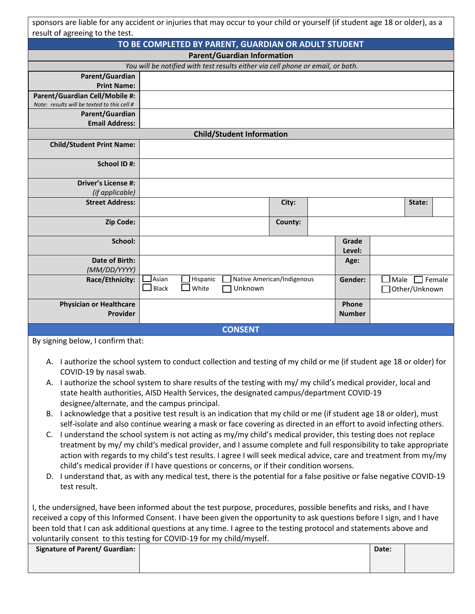|                                                                               | sponsors are liable for any accident or injuries that may occur to your child or yourself (if student age 18 or older), as a                                                                                                                                                                                                                                                                                                                                                                                                                                                                                                                                                                                                                                                                                                                                                                                                                                                                                                                                                                                                                                                                                    |                            |                        |                                |
|-------------------------------------------------------------------------------|-----------------------------------------------------------------------------------------------------------------------------------------------------------------------------------------------------------------------------------------------------------------------------------------------------------------------------------------------------------------------------------------------------------------------------------------------------------------------------------------------------------------------------------------------------------------------------------------------------------------------------------------------------------------------------------------------------------------------------------------------------------------------------------------------------------------------------------------------------------------------------------------------------------------------------------------------------------------------------------------------------------------------------------------------------------------------------------------------------------------------------------------------------------------------------------------------------------------|----------------------------|------------------------|--------------------------------|
| result of agreeing to the test.                                               | TO BE COMPLETED BY PARENT, GUARDIAN OR ADULT STUDENT                                                                                                                                                                                                                                                                                                                                                                                                                                                                                                                                                                                                                                                                                                                                                                                                                                                                                                                                                                                                                                                                                                                                                            |                            |                        |                                |
|                                                                               | <b>Parent/Guardian Information</b>                                                                                                                                                                                                                                                                                                                                                                                                                                                                                                                                                                                                                                                                                                                                                                                                                                                                                                                                                                                                                                                                                                                                                                              |                            |                        |                                |
|                                                                               | You will be notified with test results either via cell phone or email, or both.                                                                                                                                                                                                                                                                                                                                                                                                                                                                                                                                                                                                                                                                                                                                                                                                                                                                                                                                                                                                                                                                                                                                 |                            |                        |                                |
| Parent/Guardian                                                               |                                                                                                                                                                                                                                                                                                                                                                                                                                                                                                                                                                                                                                                                                                                                                                                                                                                                                                                                                                                                                                                                                                                                                                                                                 |                            |                        |                                |
| <b>Print Name:</b>                                                            |                                                                                                                                                                                                                                                                                                                                                                                                                                                                                                                                                                                                                                                                                                                                                                                                                                                                                                                                                                                                                                                                                                                                                                                                                 |                            |                        |                                |
| Parent/Guardian Cell/Mobile #:<br>Note: results will be texted to this cell # |                                                                                                                                                                                                                                                                                                                                                                                                                                                                                                                                                                                                                                                                                                                                                                                                                                                                                                                                                                                                                                                                                                                                                                                                                 |                            |                        |                                |
| Parent/Guardian                                                               |                                                                                                                                                                                                                                                                                                                                                                                                                                                                                                                                                                                                                                                                                                                                                                                                                                                                                                                                                                                                                                                                                                                                                                                                                 |                            |                        |                                |
| <b>Email Address:</b>                                                         |                                                                                                                                                                                                                                                                                                                                                                                                                                                                                                                                                                                                                                                                                                                                                                                                                                                                                                                                                                                                                                                                                                                                                                                                                 |                            |                        |                                |
|                                                                               | <b>Child/Student Information</b>                                                                                                                                                                                                                                                                                                                                                                                                                                                                                                                                                                                                                                                                                                                                                                                                                                                                                                                                                                                                                                                                                                                                                                                |                            |                        |                                |
| <b>Child/Student Print Name:</b>                                              |                                                                                                                                                                                                                                                                                                                                                                                                                                                                                                                                                                                                                                                                                                                                                                                                                                                                                                                                                                                                                                                                                                                                                                                                                 |                            |                        |                                |
| School ID#:                                                                   |                                                                                                                                                                                                                                                                                                                                                                                                                                                                                                                                                                                                                                                                                                                                                                                                                                                                                                                                                                                                                                                                                                                                                                                                                 |                            |                        |                                |
| <b>Driver's License #:</b>                                                    |                                                                                                                                                                                                                                                                                                                                                                                                                                                                                                                                                                                                                                                                                                                                                                                                                                                                                                                                                                                                                                                                                                                                                                                                                 |                            |                        |                                |
| (if applicable)                                                               |                                                                                                                                                                                                                                                                                                                                                                                                                                                                                                                                                                                                                                                                                                                                                                                                                                                                                                                                                                                                                                                                                                                                                                                                                 |                            |                        |                                |
| <b>Street Address:</b>                                                        |                                                                                                                                                                                                                                                                                                                                                                                                                                                                                                                                                                                                                                                                                                                                                                                                                                                                                                                                                                                                                                                                                                                                                                                                                 | City:                      |                        | State:                         |
| Zip Code:                                                                     |                                                                                                                                                                                                                                                                                                                                                                                                                                                                                                                                                                                                                                                                                                                                                                                                                                                                                                                                                                                                                                                                                                                                                                                                                 | County:                    |                        |                                |
| School:                                                                       |                                                                                                                                                                                                                                                                                                                                                                                                                                                                                                                                                                                                                                                                                                                                                                                                                                                                                                                                                                                                                                                                                                                                                                                                                 |                            | Grade<br>Level:        |                                |
| <b>Date of Birth:</b>                                                         |                                                                                                                                                                                                                                                                                                                                                                                                                                                                                                                                                                                                                                                                                                                                                                                                                                                                                                                                                                                                                                                                                                                                                                                                                 |                            | Age:                   |                                |
| (MM/DD/YYYY)<br>Race/Ethnicity:                                               | $J$ Asian<br>Hispanic<br>$\mathsf{\mathsf{I}}$ Black<br>White<br>Unknown                                                                                                                                                                                                                                                                                                                                                                                                                                                                                                                                                                                                                                                                                                                                                                                                                                                                                                                                                                                                                                                                                                                                        | Native American/Indigenous | Gender:                | $Male$ Female<br>Other/Unknown |
| <b>Physician or Healthcare</b><br>Provider                                    |                                                                                                                                                                                                                                                                                                                                                                                                                                                                                                                                                                                                                                                                                                                                                                                                                                                                                                                                                                                                                                                                                                                                                                                                                 |                            | Phone<br><b>Number</b> |                                |
|                                                                               | <b>CONSENT</b>                                                                                                                                                                                                                                                                                                                                                                                                                                                                                                                                                                                                                                                                                                                                                                                                                                                                                                                                                                                                                                                                                                                                                                                                  |                            |                        |                                |
| By signing below, I confirm that:                                             |                                                                                                                                                                                                                                                                                                                                                                                                                                                                                                                                                                                                                                                                                                                                                                                                                                                                                                                                                                                                                                                                                                                                                                                                                 |                            |                        |                                |
| COVID-19 by nasal swab.<br>В.<br>C.<br>test result.                           | A. I authorize the school system to conduct collection and testing of my child or me (if student age 18 or older) for<br>A. I authorize the school system to share results of the testing with my/my child's medical provider, local and<br>state health authorities, AISD Health Services, the designated campus/department COVID-19<br>designee/alternate, and the campus principal.<br>I acknowledge that a positive test result is an indication that my child or me (if student age 18 or older), must<br>self-isolate and also continue wearing a mask or face covering as directed in an effort to avoid infecting others.<br>I understand the school system is not acting as my/my child's medical provider, this testing does not replace<br>treatment by my/my child's medical provider, and I assume complete and full responsibility to take appropriate<br>action with regards to my child's test results. I agree I will seek medical advice, care and treatment from my/my<br>child's medical provider if I have questions or concerns, or if their condition worsens.<br>D. I understand that, as with any medical test, there is the potential for a false positive or false negative COVID-19 |                            |                        |                                |
|                                                                               | I, the undersigned, have been informed about the test purpose, procedures, possible benefits and risks, and I have<br>received a copy of this Informed Consent. I have been given the opportunity to ask questions before I sign, and I have<br>been told that I can ask additional questions at any time. I agree to the testing protocol and statements above and<br>voluntarily consent to this testing for COVID-19 for my child/myself.                                                                                                                                                                                                                                                                                                                                                                                                                                                                                                                                                                                                                                                                                                                                                                    |                            |                        |                                |

| Signature of Parent/ Guardian: |  |  | Date: |  |
|--------------------------------|--|--|-------|--|
|                                |  |  |       |  |
|                                |  |  |       |  |